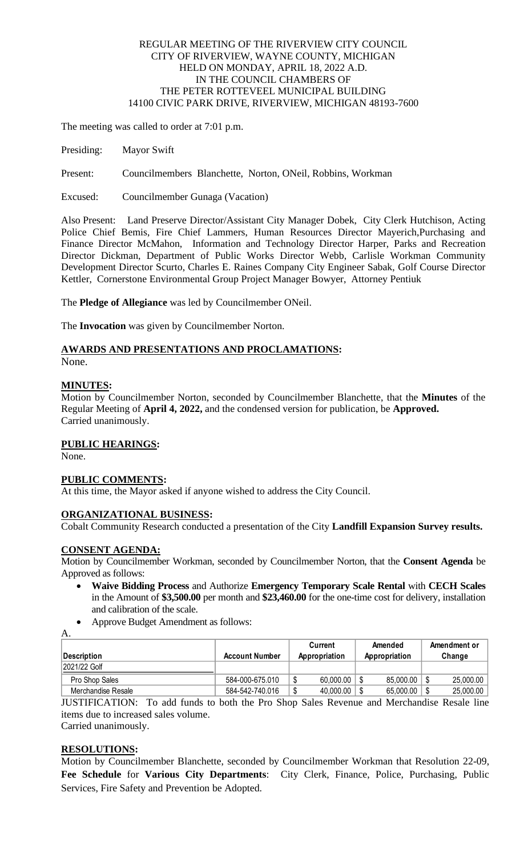#### REGULAR MEETING OF THE RIVERVIEW CITY COUNCIL CITY OF RIVERVIEW, WAYNE COUNTY, MICHIGAN HELD ON MONDAY, APRIL 18, 2022 A.D. IN THE COUNCIL CHAMBERS OF THE PETER ROTTEVEEL MUNICIPAL BUILDING 14100 CIVIC PARK DRIVE, RIVERVIEW, MICHIGAN 48193-7600

The meeting was called to order at 7:01 p.m.

Presiding: Mayor Swift

Present: Councilmembers Blanchette, Norton, ONeil, Robbins, Workman

Excused: Councilmember Gunaga (Vacation)

Also Present: Land Preserve Director/Assistant City Manager Dobek, City Clerk Hutchison, Acting Police Chief Bemis, Fire Chief Lammers, Human Resources Director Mayerich,Purchasing and Finance Director McMahon, Information and Technology Director Harper, Parks and Recreation Director Dickman, Department of Public Works Director Webb, Carlisle Workman Community Development Director Scurto, Charles E. Raines Company City Engineer Sabak, Golf Course Director Kettler, Cornerstone Environmental Group Project Manager Bowyer, Attorney Pentiuk

The **Pledge of Allegiance** was led by Councilmember ONeil.

The **Invocation** was given by Councilmember Norton.

#### **AWARDS AND PRESENTATIONS AND PROCLAMATIONS:**

None.

#### **MINUTES:**

Motion by Councilmember Norton, seconded by Councilmember Blanchette, that the **Minutes** of the Regular Meeting of **April 4, 2022,** and the condensed version for publication, be **Approved.** Carried unanimously.

#### **PUBLIC HEARINGS:**

None.

## **PUBLIC COMMENTS:**

At this time, the Mayor asked if anyone wished to address the City Council.

#### **ORGANIZATIONAL BUSINESS:**

Cobalt Community Research conducted a presentation of the City **Landfill Expansion Survey results.**

#### **CONSENT AGENDA:**

Motion by Councilmember Workman, seconded by Councilmember Norton, that the **Consent Agenda** be Approved as follows:

- **Waive Bidding Process** and Authorize **Emergency Temporary Scale Rental** with **CECH Scales** in the Amount of **\$3,500.00** per month and **\$23,460.00** for the one-time cost for delivery, installation and calibration of the scale.
- Approve Budget Amendment as follows:

A.

| <b>Description</b> | <b>Account Number</b> | Current<br>Appropriation | Amended<br>Appropriation | Amendment or<br>Change |
|--------------------|-----------------------|--------------------------|--------------------------|------------------------|
| 2021/22 Golf       |                       |                          |                          |                        |
| Pro Shop Sales     | 584-000-675.010       | 60,000.00                | 85,000.00                | 25,000.00              |
| Merchandise Resale | 584-542-740.016       | 40,000.00                | 65,000.00                | 25,000.00              |

JUSTIFICATION: To add funds to both the Pro Shop Sales Revenue and Merchandise Resale line items due to increased sales volume. Carried unanimously.

# **RESOLUTIONS:**

Motion by Councilmember Blanchette, seconded by Councilmember Workman that Resolution 22-09, **Fee Schedule** for **Various City Departments**: City Clerk, Finance, Police, Purchasing, Public Services, Fire Safety and Prevention be Adopted.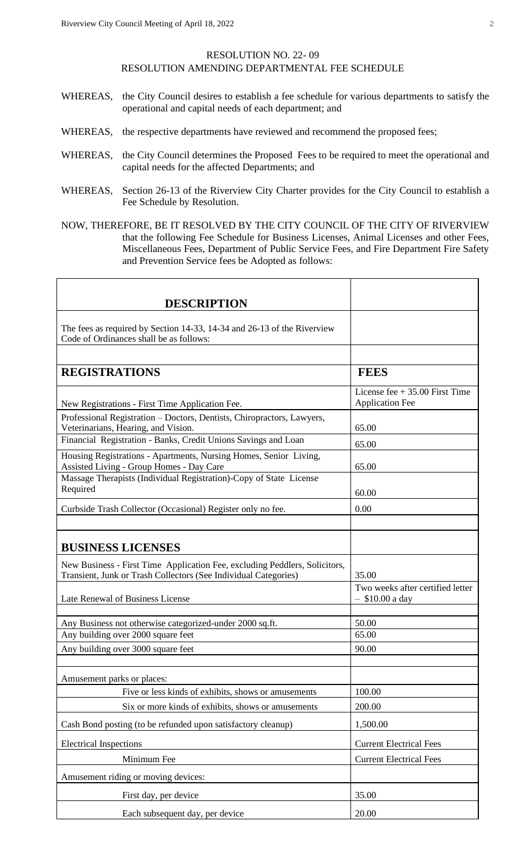#### RESOLUTION NO. 22- 09 RESOLUTION AMENDING DEPARTMENTAL FEE SCHEDULE

- WHEREAS, the City Council desires to establish a fee schedule for various departments to satisfy the operational and capital needs of each department; and
- WHEREAS, the respective departments have reviewed and recommend the proposed fees;
- WHEREAS, the City Council determines the Proposed Fees to be required to meet the operational and capital needs for the affected Departments; and
- WHEREAS, Section 26-13 of the Riverview City Charter provides for the City Council to establish a Fee Schedule by Resolution.
- NOW, THEREFORE, BE IT RESOLVED BY THE CITY COUNCIL OF THE CITY OF RIVERVIEW that the following Fee Schedule for Business Licenses, Animal Licenses and other Fees, Miscellaneous Fees, Department of Public Service Fees, and Fire Department Fire Safety and Prevention Service fees be Adopted as follows:

| <b>DESCRIPTION</b>                                                                                                                            |                                                           |
|-----------------------------------------------------------------------------------------------------------------------------------------------|-----------------------------------------------------------|
|                                                                                                                                               |                                                           |
| The fees as required by Section 14-33, 14-34 and 26-13 of the Riverview<br>Code of Ordinances shall be as follows:                            |                                                           |
|                                                                                                                                               |                                                           |
| <b>REGISTRATIONS</b>                                                                                                                          | <b>FEES</b>                                               |
| New Registrations - First Time Application Fee.                                                                                               | License fee $+35.00$ First Time<br><b>Application Fee</b> |
| Professional Registration - Doctors, Dentists, Chiropractors, Lawyers,<br>Veterinarians, Hearing, and Vision.                                 | 65.00                                                     |
| Financial Registration - Banks, Credit Unions Savings and Loan                                                                                | 65.00                                                     |
| Housing Registrations - Apartments, Nursing Homes, Senior Living,<br>Assisted Living - Group Homes - Day Care                                 | 65.00                                                     |
| Massage Therapists (Individual Registration)-Copy of State License<br>Required                                                                | 60.00                                                     |
| Curbside Trash Collector (Occasional) Register only no fee.                                                                                   | 0.00                                                      |
|                                                                                                                                               |                                                           |
| <b>BUSINESS LICENSES</b>                                                                                                                      |                                                           |
| New Business - First Time Application Fee, excluding Peddlers, Solicitors,<br>Transient, Junk or Trash Collectors (See Individual Categories) | 35.00                                                     |
| Late Renewal of Business License                                                                                                              | Two weeks after certified letter<br>$-$ \$10.00 a day     |
|                                                                                                                                               |                                                           |
| Any Business not otherwise categorized-under 2000 sq.ft.                                                                                      | 50.00<br>65.00                                            |
| Any building over 2000 square feet                                                                                                            |                                                           |
| Any building over 3000 square feet                                                                                                            | 90.00                                                     |
| Amusement parks or places:                                                                                                                    |                                                           |
| Five or less kinds of exhibits, shows or amusements                                                                                           | 100.00                                                    |
| Six or more kinds of exhibits, shows or amusements                                                                                            | 200.00                                                    |
| Cash Bond posting (to be refunded upon satisfactory cleanup)                                                                                  | 1,500.00                                                  |
| <b>Electrical Inspections</b>                                                                                                                 | <b>Current Electrical Fees</b>                            |
| Minimum Fee                                                                                                                                   | <b>Current Electrical Fees</b>                            |
| Amusement riding or moving devices:                                                                                                           |                                                           |
| First day, per device                                                                                                                         | 35.00                                                     |
| Each subsequent day, per device                                                                                                               | 20.00                                                     |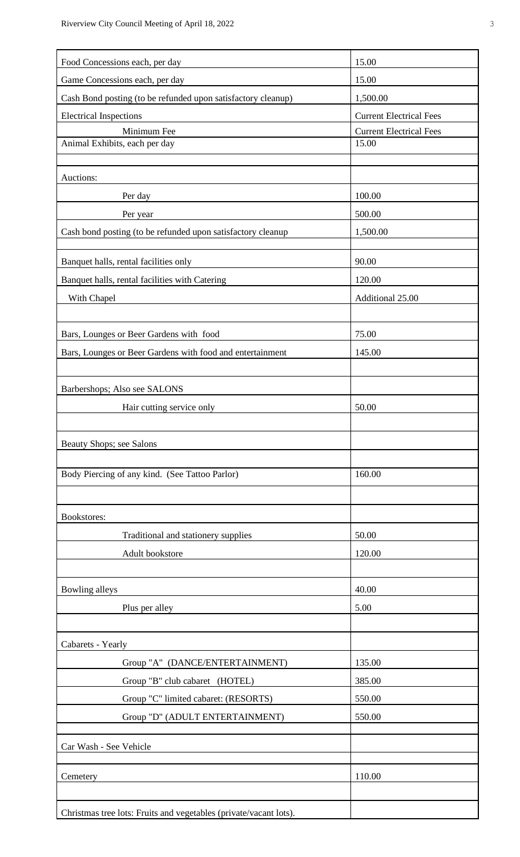| Food Concessions each, per day                                    | 15.00                          |
|-------------------------------------------------------------------|--------------------------------|
| Game Concessions each, per day                                    | 15.00                          |
| Cash Bond posting (to be refunded upon satisfactory cleanup)      | 1,500.00                       |
| <b>Electrical Inspections</b>                                     | <b>Current Electrical Fees</b> |
| Minimum Fee                                                       | <b>Current Electrical Fees</b> |
| Animal Exhibits, each per day                                     | 15.00                          |
|                                                                   |                                |
| Auctions:                                                         |                                |
| Per day                                                           | 100.00                         |
| Per year                                                          | 500.00                         |
| Cash bond posting (to be refunded upon satisfactory cleanup       | 1,500.00                       |
| Banquet halls, rental facilities only                             | 90.00                          |
| Banquet halls, rental facilities with Catering                    | 120.00                         |
| With Chapel                                                       | Additional 25.00               |
|                                                                   |                                |
| Bars, Lounges or Beer Gardens with food                           | 75.00                          |
| Bars, Lounges or Beer Gardens with food and entertainment         | 145.00                         |
|                                                                   |                                |
| Barbershops; Also see SALONS                                      |                                |
| Hair cutting service only                                         | 50.00                          |
|                                                                   |                                |
| Beauty Shops; see Salons                                          |                                |
|                                                                   |                                |
| Body Piercing of any kind. (See Tattoo Parlor)                    | 160.00                         |
|                                                                   |                                |
| <b>Bookstores:</b>                                                |                                |
| Traditional and stationery supplies                               | 50.00                          |
| Adult bookstore                                                   | 120.00                         |
|                                                                   |                                |
| Bowling alleys                                                    | 40.00                          |
| Plus per alley                                                    | 5.00                           |
|                                                                   |                                |
| Cabarets - Yearly                                                 |                                |
| Group "A" (DANCE/ENTERTAINMENT)                                   | 135.00                         |
| Group "B" club cabaret (HOTEL)                                    | 385.00                         |
| Group "C" limited cabaret: (RESORTS)                              | 550.00                         |
| Group "D" (ADULT ENTERTAINMENT)                                   | 550.00                         |
|                                                                   |                                |
| Car Wash - See Vehicle                                            |                                |
|                                                                   |                                |
| Cemetery                                                          | 110.00                         |
|                                                                   |                                |
| Christmas tree lots: Fruits and vegetables (private/vacant lots). |                                |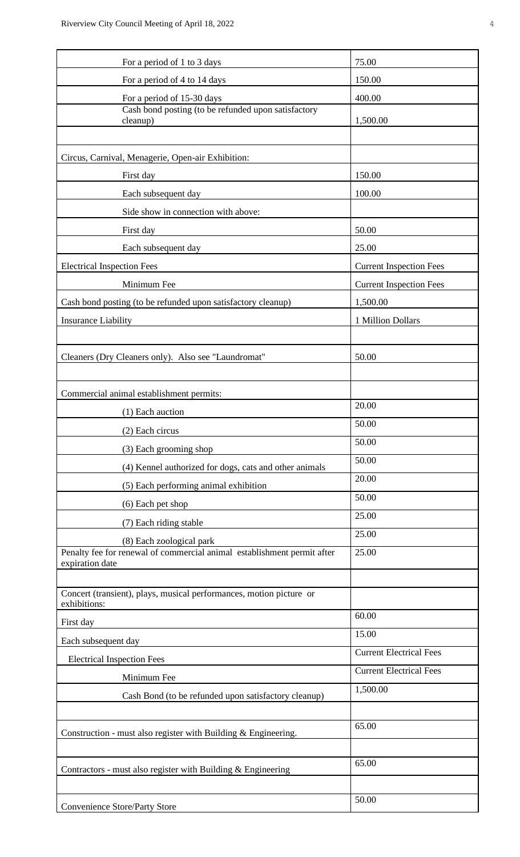| For a period of 1 to 3 days                                                                         | 75.00                          |
|-----------------------------------------------------------------------------------------------------|--------------------------------|
| For a period of 4 to 14 days                                                                        | 150.00                         |
| For a period of 15-30 days                                                                          | 400.00                         |
| Cash bond posting (to be refunded upon satisfactory<br>cleanup)                                     | 1,500.00                       |
|                                                                                                     |                                |
| Circus, Carnival, Menagerie, Open-air Exhibition:                                                   |                                |
| First day                                                                                           | 150.00                         |
| Each subsequent day                                                                                 | 100.00                         |
| Side show in connection with above:                                                                 |                                |
| First day                                                                                           | 50.00                          |
| Each subsequent day                                                                                 | 25.00                          |
| <b>Electrical Inspection Fees</b>                                                                   | <b>Current Inspection Fees</b> |
| Minimum Fee                                                                                         | <b>Current Inspection Fees</b> |
| Cash bond posting (to be refunded upon satisfactory cleanup)                                        | 1,500.00                       |
| <b>Insurance Liability</b>                                                                          | 1 Million Dollars              |
|                                                                                                     |                                |
| Cleaners (Dry Cleaners only). Also see "Laundromat"                                                 | 50.00                          |
|                                                                                                     |                                |
| Commercial animal establishment permits:                                                            |                                |
|                                                                                                     | 20.00                          |
| (1) Each auction                                                                                    | 50.00                          |
| (2) Each circus                                                                                     | 50.00                          |
| (3) Each grooming shop                                                                              | 50.00                          |
| (4) Kennel authorized for dogs, cats and other animals                                              | 20.00                          |
| (5) Each performing animal exhibition                                                               | 50.00                          |
| (6) Each pet shop                                                                                   | 25.00                          |
| (7) Each riding stable                                                                              | 25.00                          |
| (8) Each zoological park<br>Penalty fee for renewal of commercial animal establishment permit after | 25.00                          |
| expiration date                                                                                     |                                |
|                                                                                                     |                                |
| Concert (transient), plays, musical performances, motion picture or<br>exhibitions:                 |                                |
| First day                                                                                           | 60.00                          |
| Each subsequent day                                                                                 | 15.00                          |
| <b>Electrical Inspection Fees</b>                                                                   | <b>Current Electrical Fees</b> |
| Minimum Fee                                                                                         | <b>Current Electrical Fees</b> |
| Cash Bond (to be refunded upon satisfactory cleanup)                                                | 1,500.00                       |
|                                                                                                     |                                |
| Construction - must also register with Building & Engineering.                                      | 65.00                          |
|                                                                                                     |                                |
| Contractors - must also register with Building $&$ Engineering                                      | 65.00                          |
|                                                                                                     |                                |
|                                                                                                     | 50.00                          |
| <b>Convenience Store/Party Store</b>                                                                |                                |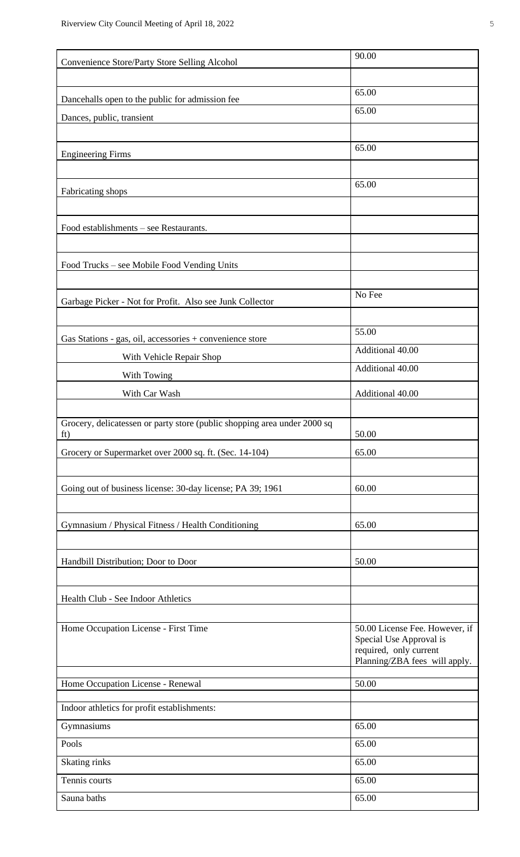| Convenience Store/Party Store Selling Alcohol                                   | 90.00                                                     |
|---------------------------------------------------------------------------------|-----------------------------------------------------------|
|                                                                                 |                                                           |
| Dancehalls open to the public for admission fee                                 | 65.00                                                     |
| Dances, public, transient                                                       | 65.00                                                     |
|                                                                                 |                                                           |
| <b>Engineering Firms</b>                                                        | 65.00                                                     |
|                                                                                 |                                                           |
| Fabricating shops                                                               | 65.00                                                     |
|                                                                                 |                                                           |
| Food establishments – see Restaurants.                                          |                                                           |
|                                                                                 |                                                           |
| Food Trucks – see Mobile Food Vending Units                                     |                                                           |
|                                                                                 |                                                           |
| Garbage Picker - Not for Profit. Also see Junk Collector                        | No Fee                                                    |
|                                                                                 |                                                           |
| Gas Stations - gas, oil, accessories + convenience store                        | 55.00                                                     |
| With Vehicle Repair Shop                                                        | Additional 40.00                                          |
| With Towing                                                                     | Additional 40.00                                          |
| With Car Wash                                                                   | Additional 40.00                                          |
|                                                                                 |                                                           |
| Grocery, delicatessen or party store (public shopping area under 2000 sq<br>ft) | 50.00                                                     |
| Grocery or Supermarket over 2000 sq. ft. (Sec. 14-104)                          | 65.00                                                     |
|                                                                                 |                                                           |
| Going out of business license: 30-day license; PA 39; 1961                      | 60.00                                                     |
|                                                                                 |                                                           |
| Gymnasium / Physical Fitness / Health Conditioning                              | 65.00                                                     |
|                                                                                 |                                                           |
| Handbill Distribution; Door to Door                                             | 50.00                                                     |
|                                                                                 |                                                           |
| Health Club - See Indoor Athletics                                              |                                                           |
|                                                                                 |                                                           |
| Home Occupation License - First Time                                            | 50.00 License Fee. However, if<br>Special Use Approval is |
|                                                                                 | required, only current                                    |
|                                                                                 | Planning/ZBA fees will apply.                             |
| Home Occupation License - Renewal                                               | 50.00                                                     |
| Indoor athletics for profit establishments:                                     |                                                           |
| Gymnasiums                                                                      | 65.00                                                     |
| Pools                                                                           | 65.00                                                     |
| Skating rinks                                                                   | 65.00                                                     |
| Tennis courts                                                                   | 65.00                                                     |
| Sauna baths                                                                     | 65.00                                                     |
|                                                                                 |                                                           |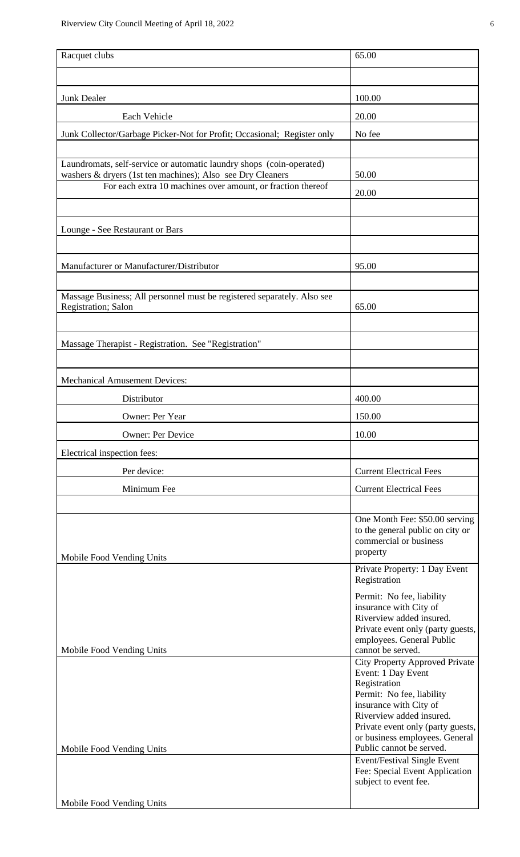| Racquet clubs                                                                                  | 65.00                                                                                                                                                                                                                                                                                                                                     |
|------------------------------------------------------------------------------------------------|-------------------------------------------------------------------------------------------------------------------------------------------------------------------------------------------------------------------------------------------------------------------------------------------------------------------------------------------|
|                                                                                                |                                                                                                                                                                                                                                                                                                                                           |
| <b>Junk Dealer</b>                                                                             | 100.00                                                                                                                                                                                                                                                                                                                                    |
| Each Vehicle                                                                                   | 20.00                                                                                                                                                                                                                                                                                                                                     |
|                                                                                                |                                                                                                                                                                                                                                                                                                                                           |
| Junk Collector/Garbage Picker-Not for Profit; Occasional; Register only                        | No fee                                                                                                                                                                                                                                                                                                                                    |
| Laundromats, self-service or automatic laundry shops (coin-operated)                           |                                                                                                                                                                                                                                                                                                                                           |
| washers & dryers (1st ten machines); Also see Dry Cleaners                                     | 50.00                                                                                                                                                                                                                                                                                                                                     |
| For each extra 10 machines over amount, or fraction thereof                                    | 20.00                                                                                                                                                                                                                                                                                                                                     |
|                                                                                                |                                                                                                                                                                                                                                                                                                                                           |
| Lounge - See Restaurant or Bars                                                                |                                                                                                                                                                                                                                                                                                                                           |
|                                                                                                |                                                                                                                                                                                                                                                                                                                                           |
| Manufacturer or Manufacturer/Distributor                                                       | 95.00                                                                                                                                                                                                                                                                                                                                     |
|                                                                                                |                                                                                                                                                                                                                                                                                                                                           |
| Massage Business; All personnel must be registered separately. Also see<br>Registration; Salon | 65.00                                                                                                                                                                                                                                                                                                                                     |
|                                                                                                |                                                                                                                                                                                                                                                                                                                                           |
| Massage Therapist - Registration. See "Registration"                                           |                                                                                                                                                                                                                                                                                                                                           |
|                                                                                                |                                                                                                                                                                                                                                                                                                                                           |
| <b>Mechanical Amusement Devices:</b>                                                           |                                                                                                                                                                                                                                                                                                                                           |
| Distributor                                                                                    | 400.00                                                                                                                                                                                                                                                                                                                                    |
| Owner: Per Year                                                                                | 150.00                                                                                                                                                                                                                                                                                                                                    |
| <b>Owner: Per Device</b>                                                                       | 10.00                                                                                                                                                                                                                                                                                                                                     |
| Electrical inspection fees:                                                                    |                                                                                                                                                                                                                                                                                                                                           |
| Per device:                                                                                    | <b>Current Electrical Fees</b>                                                                                                                                                                                                                                                                                                            |
| Minimum Fee                                                                                    | <b>Current Electrical Fees</b>                                                                                                                                                                                                                                                                                                            |
|                                                                                                |                                                                                                                                                                                                                                                                                                                                           |
| Mobile Food Vending Units                                                                      | One Month Fee: \$50.00 serving<br>to the general public on city or<br>commercial or business<br>property                                                                                                                                                                                                                                  |
|                                                                                                | Private Property: 1 Day Event<br>Registration                                                                                                                                                                                                                                                                                             |
| Mobile Food Vending Units                                                                      | Permit: No fee, liability<br>insurance with City of<br>Riverview added insured.<br>Private event only (party guests,<br>employees. General Public<br>cannot be served.                                                                                                                                                                    |
| Mobile Food Vending Units                                                                      | <b>City Property Approved Private</b><br>Event: 1 Day Event<br>Registration<br>Permit: No fee, liability<br>insurance with City of<br>Riverview added insured.<br>Private event only (party guests,<br>or business employees. General<br>Public cannot be served.<br><b>Event/Festival Single Event</b><br>Fee: Special Event Application |
| Mobile Food Vending Units                                                                      | subject to event fee.                                                                                                                                                                                                                                                                                                                     |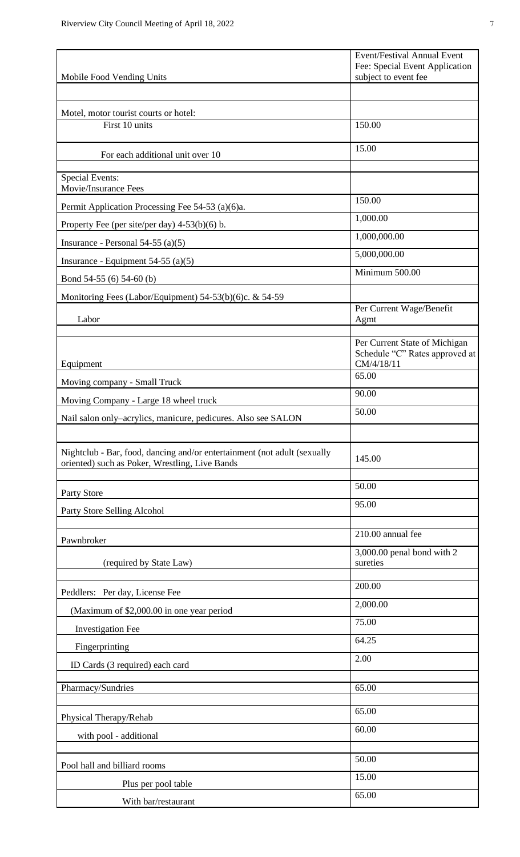| Mobile Food Vending Units                                                                                                  | <b>Event/Festival Annual Event</b><br>Fee: Special Event Application<br>subject to event fee |
|----------------------------------------------------------------------------------------------------------------------------|----------------------------------------------------------------------------------------------|
|                                                                                                                            |                                                                                              |
| Motel, motor tourist courts or hotel:                                                                                      |                                                                                              |
| First 10 units                                                                                                             | 150.00                                                                                       |
|                                                                                                                            | 15.00                                                                                        |
| For each additional unit over 10                                                                                           |                                                                                              |
| <b>Special Events:</b><br>Movie/Insurance Fees                                                                             |                                                                                              |
| Permit Application Processing Fee 54-53 (a)(6)a.                                                                           | 150.00                                                                                       |
| Property Fee (per site/per day) $4-53(b)(6)$ b.                                                                            | 1,000.00                                                                                     |
| Insurance - Personal 54-55 $(a)(5)$                                                                                        | 1,000,000.00                                                                                 |
| Insurance - Equipment $54-55$ (a)(5)                                                                                       | 5,000,000.00                                                                                 |
| Bond 54-55 (6) 54-60 (b)                                                                                                   | Minimum 500.00                                                                               |
| Monitoring Fees (Labor/Equipment) 54-53(b)(6)c. & 54-59                                                                    |                                                                                              |
| Labor                                                                                                                      | Per Current Wage/Benefit<br>Agmt                                                             |
| Equipment                                                                                                                  | Per Current State of Michigan<br>Schedule "C" Rates approved at<br>CM/4/18/11                |
| Moving company - Small Truck                                                                                               | 65.00                                                                                        |
| Moving Company - Large 18 wheel truck                                                                                      | 90.00                                                                                        |
| Nail salon only-acrylics, manicure, pedicures. Also see SALON                                                              | 50.00                                                                                        |
|                                                                                                                            |                                                                                              |
| Nightclub - Bar, food, dancing and/or entertainment (not adult (sexually<br>oriented) such as Poker, Wrestling, Live Bands | 145.00                                                                                       |
|                                                                                                                            | 50.00                                                                                        |
| Party Store<br>Party Store Selling Alcohol                                                                                 | 95.00                                                                                        |
|                                                                                                                            |                                                                                              |
| Pawnbroker                                                                                                                 | 210.00 annual fee                                                                            |
| (required by State Law)                                                                                                    | 3,000.00 penal bond with 2<br>sureties                                                       |
|                                                                                                                            |                                                                                              |
| Peddlers: Per day, License Fee                                                                                             | 200.00                                                                                       |
| (Maximum of \$2,000.00 in one year period                                                                                  | 2,000.00                                                                                     |
| <b>Investigation Fee</b>                                                                                                   | 75.00                                                                                        |
| Fingerprinting                                                                                                             | 64.25                                                                                        |
| ID Cards (3 required) each card                                                                                            | 2.00                                                                                         |
| Pharmacy/Sundries                                                                                                          | 65.00                                                                                        |
|                                                                                                                            |                                                                                              |
| Physical Therapy/Rehab                                                                                                     | 65.00                                                                                        |
| with pool - additional                                                                                                     | 60.00                                                                                        |
|                                                                                                                            | 50.00                                                                                        |
| Pool hall and billiard rooms                                                                                               | 15.00                                                                                        |
| Plus per pool table                                                                                                        | 65.00                                                                                        |
| With bar/restaurant                                                                                                        |                                                                                              |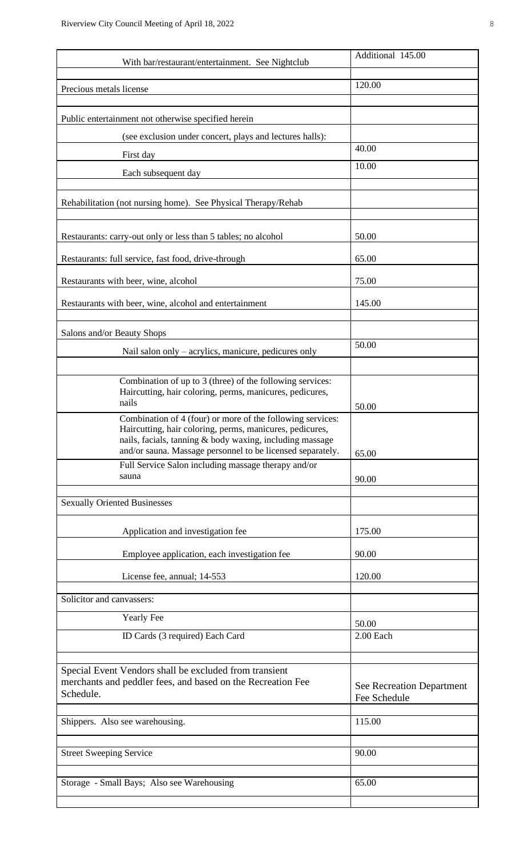| With bar/restaurant/entertainment. See Nightclub                                                                                                                                   | Additional 145.00                                |
|------------------------------------------------------------------------------------------------------------------------------------------------------------------------------------|--------------------------------------------------|
| Precious metals license                                                                                                                                                            | 120.00                                           |
|                                                                                                                                                                                    |                                                  |
| Public entertainment not otherwise specified herein                                                                                                                                |                                                  |
| (see exclusion under concert, plays and lectures halls):                                                                                                                           |                                                  |
| First day                                                                                                                                                                          | 40.00                                            |
| Each subsequent day                                                                                                                                                                | 10.00                                            |
|                                                                                                                                                                                    |                                                  |
| Rehabilitation (not nursing home). See Physical Therapy/Rehab                                                                                                                      |                                                  |
| Restaurants: carry-out only or less than 5 tables; no alcohol                                                                                                                      | 50.00                                            |
| Restaurants: full service, fast food, drive-through                                                                                                                                | 65.00                                            |
| Restaurants with beer, wine, alcohol                                                                                                                                               | 75.00                                            |
| Restaurants with beer, wine, alcohol and entertainment                                                                                                                             | 145.00                                           |
| Salons and/or Beauty Shops                                                                                                                                                         |                                                  |
| Nail salon only - acrylics, manicure, pedicures only                                                                                                                               | 50.00                                            |
|                                                                                                                                                                                    |                                                  |
| Combination of up to 3 (three) of the following services:<br>Haircutting, hair coloring, perms, manicures, pedicures,<br>nails                                                     |                                                  |
| Combination of 4 (four) or more of the following services:                                                                                                                         | 50.00                                            |
| Haircutting, hair coloring, perms, manicures, pedicures,<br>nails, facials, tanning & body waxing, including massage<br>and/or sauna. Massage personnel to be licensed separately. | 65.00                                            |
| Full Service Salon including massage therapy and/or                                                                                                                                |                                                  |
| sauna                                                                                                                                                                              | 90.00                                            |
| <b>Sexually Oriented Businesses</b>                                                                                                                                                |                                                  |
|                                                                                                                                                                                    |                                                  |
| Application and investigation fee                                                                                                                                                  | 175.00                                           |
| Employee application, each investigation fee                                                                                                                                       | 90.00                                            |
| License fee, annual; 14-553                                                                                                                                                        | 120.00                                           |
| Solicitor and canvassers:                                                                                                                                                          |                                                  |
| <b>Yearly Fee</b>                                                                                                                                                                  |                                                  |
| ID Cards (3 required) Each Card                                                                                                                                                    | 50.00<br>2.00 Each                               |
|                                                                                                                                                                                    |                                                  |
| Special Event Vendors shall be excluded from transient<br>merchants and peddler fees, and based on the Recreation Fee<br>Schedule.                                                 | <b>See Recreation Department</b><br>Fee Schedule |
| Shippers. Also see warehousing.                                                                                                                                                    | 115.00                                           |
|                                                                                                                                                                                    |                                                  |
| <b>Street Sweeping Service</b>                                                                                                                                                     | 90.00                                            |
| Storage - Small Bays; Also see Warehousing                                                                                                                                         | 65.00                                            |
|                                                                                                                                                                                    |                                                  |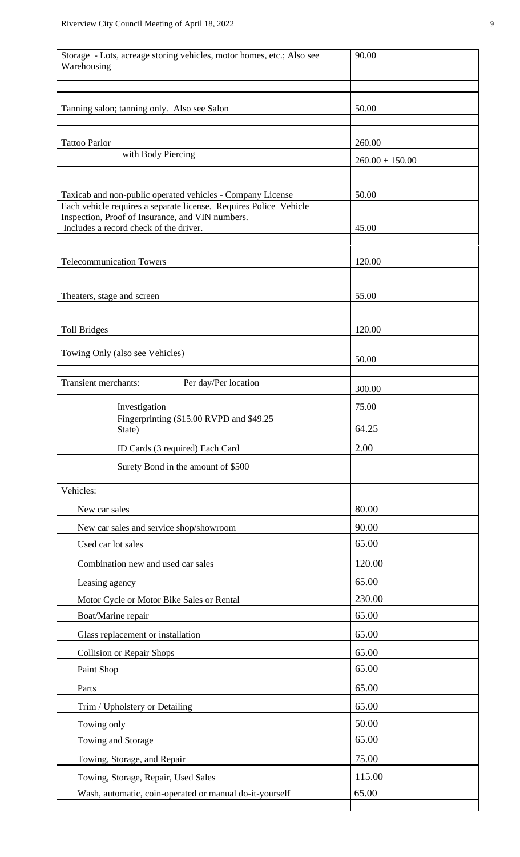| Storage - Lots, acreage storing vehicles, motor homes, etc.; Also see<br>Warehousing                                            | 90.00             |
|---------------------------------------------------------------------------------------------------------------------------------|-------------------|
| Tanning salon; tanning only. Also see Salon                                                                                     | 50.00             |
| <b>Tattoo Parlor</b>                                                                                                            | 260.00            |
| with Body Piercing                                                                                                              | $260.00 + 150.00$ |
|                                                                                                                                 |                   |
| Taxicab and non-public operated vehicles - Company License<br>Each vehicle requires a separate license. Requires Police Vehicle | 50.00             |
| Inspection, Proof of Insurance, and VIN numbers.<br>Includes a record check of the driver.                                      | 45.00             |
| <b>Telecommunication Towers</b>                                                                                                 | 120.00            |
| Theaters, stage and screen                                                                                                      | 55.00             |
| <b>Toll Bridges</b>                                                                                                             | 120.00            |
| Towing Only (also see Vehicles)                                                                                                 | 50.00             |
| Transient merchants:<br>Per day/Per location                                                                                    |                   |
|                                                                                                                                 | 300.00            |
| Investigation<br>Fingerprinting (\$15.00 RVPD and \$49.25<br>State)                                                             | 75.00<br>64.25    |
| ID Cards (3 required) Each Card                                                                                                 | 2.00              |
| Surety Bond in the amount of \$500                                                                                              |                   |
| Vehicles:                                                                                                                       |                   |
| New car sales                                                                                                                   | 80.00             |
| New car sales and service shop/showroom                                                                                         | 90.00             |
| Used car lot sales                                                                                                              | 65.00             |
| Combination new and used car sales                                                                                              | 120.00            |
| Leasing agency                                                                                                                  | 65.00             |
| Motor Cycle or Motor Bike Sales or Rental                                                                                       | 230.00            |
| Boat/Marine repair                                                                                                              | 65.00             |
| Glass replacement or installation                                                                                               | 65.00             |
| <b>Collision or Repair Shops</b>                                                                                                | 65.00             |
| Paint Shop                                                                                                                      | 65.00             |
| Parts                                                                                                                           | 65.00             |
| Trim / Upholstery or Detailing                                                                                                  | 65.00             |
| Towing only                                                                                                                     | 50.00             |
| Towing and Storage                                                                                                              | 65.00             |
| Towing, Storage, and Repair                                                                                                     | 75.00             |
| Towing, Storage, Repair, Used Sales                                                                                             | 115.00            |
| Wash, automatic, coin-operated or manual do-it-yourself                                                                         | 65.00             |
|                                                                                                                                 |                   |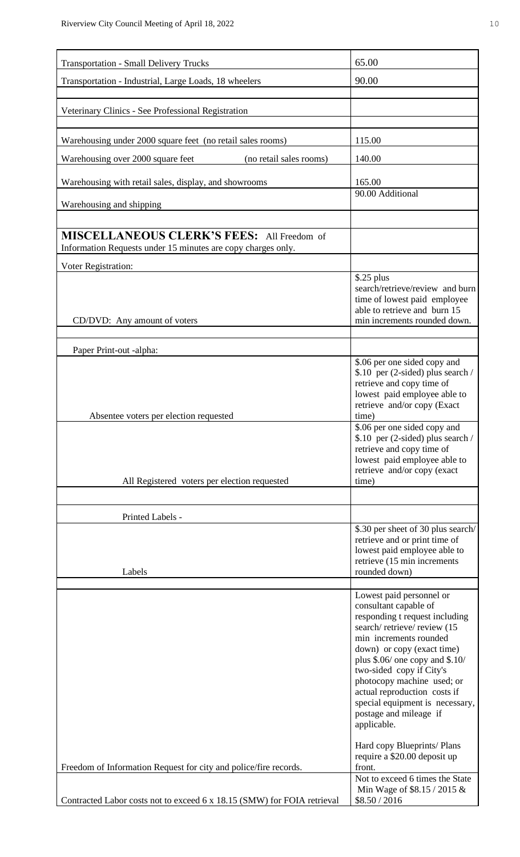| <b>Transportation - Small Delivery Trucks</b>                                                                     | 65.00                                                                                                                                                                                                                                                                                                                                                    |
|-------------------------------------------------------------------------------------------------------------------|----------------------------------------------------------------------------------------------------------------------------------------------------------------------------------------------------------------------------------------------------------------------------------------------------------------------------------------------------------|
| Transportation - Industrial, Large Loads, 18 wheelers                                                             | 90.00                                                                                                                                                                                                                                                                                                                                                    |
| Veterinary Clinics - See Professional Registration                                                                |                                                                                                                                                                                                                                                                                                                                                          |
| Warehousing under 2000 square feet (no retail sales rooms)                                                        | 115.00                                                                                                                                                                                                                                                                                                                                                   |
| Warehousing over 2000 square feet<br>(no retail sales rooms)                                                      | 140.00                                                                                                                                                                                                                                                                                                                                                   |
| Warehousing with retail sales, display, and showrooms                                                             | 165.00                                                                                                                                                                                                                                                                                                                                                   |
| Warehousing and shipping                                                                                          | 90.00 Additional                                                                                                                                                                                                                                                                                                                                         |
|                                                                                                                   |                                                                                                                                                                                                                                                                                                                                                          |
| <b>MISCELLANEOUS CLERK'S FEES:</b> All Freedom of<br>Information Requests under 15 minutes are copy charges only. |                                                                                                                                                                                                                                                                                                                                                          |
| Voter Registration:                                                                                               |                                                                                                                                                                                                                                                                                                                                                          |
| CD/DVD: Any amount of voters                                                                                      | $$.25$ plus<br>search/retrieve/review and burn<br>time of lowest paid employee<br>able to retrieve and burn 15<br>min increments rounded down.                                                                                                                                                                                                           |
| Paper Print-out -alpha:                                                                                           |                                                                                                                                                                                                                                                                                                                                                          |
| Absentee voters per election requested                                                                            | \$.06 per one sided copy and<br>\$.10 per (2-sided) plus search /<br>retrieve and copy time of<br>lowest paid employee able to<br>retrieve and/or copy (Exact<br>time)                                                                                                                                                                                   |
| All Registered voters per election requested                                                                      | \$.06 per one sided copy and<br>\$.10 per (2-sided) plus search /<br>retrieve and copy time of<br>lowest paid employee able to<br>retrieve and/or copy (exact<br>time)                                                                                                                                                                                   |
|                                                                                                                   |                                                                                                                                                                                                                                                                                                                                                          |
| Printed Labels -                                                                                                  |                                                                                                                                                                                                                                                                                                                                                          |
| Labels                                                                                                            | \$.30 per sheet of 30 plus search/<br>retrieve and or print time of<br>lowest paid employee able to<br>retrieve (15 min increments<br>rounded down)                                                                                                                                                                                                      |
|                                                                                                                   | Lowest paid personnel or                                                                                                                                                                                                                                                                                                                                 |
|                                                                                                                   | consultant capable of<br>responding t request including<br>search/retrieve/review (15<br>min increments rounded<br>down) or copy (exact time)<br>plus $$.06/$ one copy and $$.10/$<br>two-sided copy if City's<br>photocopy machine used; or<br>actual reproduction costs if<br>special equipment is necessary,<br>postage and mileage if<br>applicable. |
| Freedom of Information Request for city and police/fire records.                                                  | Hard copy Blueprints/ Plans<br>require a \$20.00 deposit up<br>front.                                                                                                                                                                                                                                                                                    |
| Contracted Labor costs not to exceed 6 x 18.15 (SMW) for FOIA retrieval                                           | Not to exceed 6 times the State<br>Min Wage of \$8.15 / 2015 &<br>\$8.50 / 2016                                                                                                                                                                                                                                                                          |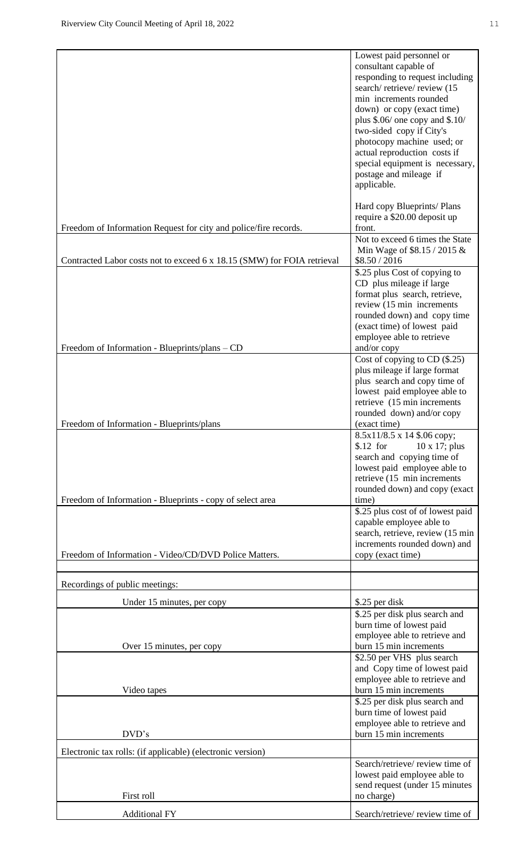|                                                                         | responding to request including<br>search/retrieve/review (15<br>min increments rounded<br>down) or copy (exact time)<br>plus $$.06/$ one copy and $$.10/$<br>two-sided copy if City's<br>photocopy machine used; or<br>actual reproduction costs if<br>special equipment is necessary,<br>postage and mileage if<br>applicable. |
|-------------------------------------------------------------------------|----------------------------------------------------------------------------------------------------------------------------------------------------------------------------------------------------------------------------------------------------------------------------------------------------------------------------------|
| Freedom of Information Request for city and police/fire records.        | Hard copy Blueprints/ Plans<br>require a \$20.00 deposit up<br>front.                                                                                                                                                                                                                                                            |
| Contracted Labor costs not to exceed 6 x 18.15 (SMW) for FOIA retrieval | Not to exceed 6 times the State<br>Min Wage of \$8.15 / 2015 &<br>\$8.50 / 2016                                                                                                                                                                                                                                                  |
|                                                                         | \$.25 plus Cost of copying to<br>CD plus mileage if large<br>format plus search, retrieve,<br>review (15 min increments<br>rounded down) and copy time<br>(exact time) of lowest paid<br>employee able to retrieve                                                                                                               |
| Freedom of Information - Blueprints/plans – CD                          | and/or copy                                                                                                                                                                                                                                                                                                                      |
|                                                                         | Cost of copying to CD $(\$$ .25)<br>plus mileage if large format<br>plus search and copy time of<br>lowest paid employee able to<br>retrieve (15 min increments)<br>rounded down) and/or copy                                                                                                                                    |
| Freedom of Information - Blueprints/plans                               | (exact time)                                                                                                                                                                                                                                                                                                                     |
| Freedom of Information - Blueprints - copy of select area               | 8.5х11/8.5 х 14 \$.06 сору;<br>$$.12$ for<br>$10 \times 17$ ; plus<br>search and copying time of<br>lowest paid employee able to<br>retrieve (15 min increments)<br>rounded down) and copy (exact<br>time)                                                                                                                       |
|                                                                         | \$.25 plus cost of of lowest paid                                                                                                                                                                                                                                                                                                |
| Freedom of Information - Video/CD/DVD Police Matters.                   | capable employee able to<br>search, retrieve, review (15 min<br>increments rounded down) and<br>copy (exact time)                                                                                                                                                                                                                |
| Recordings of public meetings:                                          |                                                                                                                                                                                                                                                                                                                                  |
|                                                                         |                                                                                                                                                                                                                                                                                                                                  |
| Under 15 minutes, per copy<br>Over 15 minutes, per copy                 | \$.25 per disk<br>\$.25 per disk plus search and<br>burn time of lowest paid<br>employee able to retrieve and<br>burn 15 min increments<br>\$2.50 per VHS plus search                                                                                                                                                            |
|                                                                         | and Copy time of lowest paid                                                                                                                                                                                                                                                                                                     |
| Video tapes                                                             | employee able to retrieve and<br>burn 15 min increments                                                                                                                                                                                                                                                                          |
| DVD's                                                                   | \$.25 per disk plus search and<br>burn time of lowest paid<br>employee able to retrieve and<br>burn 15 min increments                                                                                                                                                                                                            |
| Electronic tax rolls: (if applicable) (electronic version)              |                                                                                                                                                                                                                                                                                                                                  |
| First roll                                                              | Search/retrieve/ review time of<br>lowest paid employee able to<br>send request (under 15 minutes<br>no charge)                                                                                                                                                                                                                  |
| <b>Additional FY</b>                                                    | Search/retrieve/ review time of                                                                                                                                                                                                                                                                                                  |
|                                                                         |                                                                                                                                                                                                                                                                                                                                  |

Lowest paid personnel or consultant capable of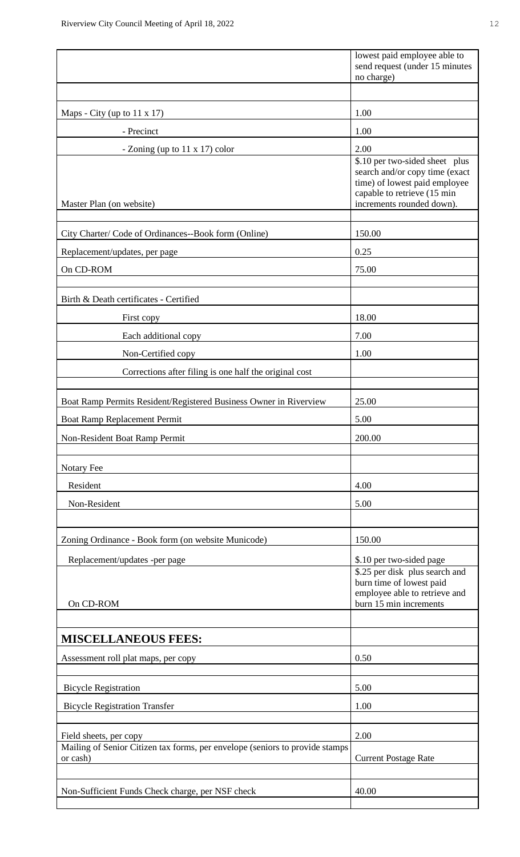|                                                                                                        | lowest paid employee able to<br>send request (under 15 minutes<br>no charge)                                                                                  |
|--------------------------------------------------------------------------------------------------------|---------------------------------------------------------------------------------------------------------------------------------------------------------------|
|                                                                                                        |                                                                                                                                                               |
| Maps - City (up to $11 \times 17$ )                                                                    | 1.00                                                                                                                                                          |
| - Precinct                                                                                             | 1.00                                                                                                                                                          |
| - Zoning (up to 11 x 17) color                                                                         | 2.00                                                                                                                                                          |
| Master Plan (on website)                                                                               | \$.10 per two-sided sheet plus<br>search and/or copy time (exact<br>time) of lowest paid employee<br>capable to retrieve (15 min<br>increments rounded down). |
| City Charter/ Code of Ordinances--Book form (Online)                                                   | 150.00                                                                                                                                                        |
| Replacement/updates, per page                                                                          | 0.25                                                                                                                                                          |
| On CD-ROM                                                                                              | 75.00                                                                                                                                                         |
|                                                                                                        |                                                                                                                                                               |
| Birth & Death certificates - Certified                                                                 |                                                                                                                                                               |
| First copy                                                                                             | 18.00                                                                                                                                                         |
| Each additional copy                                                                                   | 7.00                                                                                                                                                          |
| Non-Certified copy                                                                                     | 1.00                                                                                                                                                          |
| Corrections after filing is one half the original cost                                                 |                                                                                                                                                               |
| Boat Ramp Permits Resident/Registered Business Owner in Riverview                                      | 25.00                                                                                                                                                         |
| Boat Ramp Replacement Permit                                                                           | 5.00                                                                                                                                                          |
| Non-Resident Boat Ramp Permit                                                                          | 200.00                                                                                                                                                        |
| Notary Fee                                                                                             |                                                                                                                                                               |
| Resident                                                                                               | 4.00                                                                                                                                                          |
| Non-Resident                                                                                           | 5.00                                                                                                                                                          |
|                                                                                                        |                                                                                                                                                               |
| Zoning Ordinance - Book form (on website Municode)                                                     | 150.00                                                                                                                                                        |
| Replacement/updates -per page                                                                          | \$.10 per two-sided page                                                                                                                                      |
| On CD-ROM                                                                                              | \$.25 per disk plus search and<br>burn time of lowest paid<br>employee able to retrieve and<br>burn 15 min increments                                         |
|                                                                                                        |                                                                                                                                                               |
| <b>MISCELLANEOUS FEES:</b>                                                                             |                                                                                                                                                               |
| Assessment roll plat maps, per copy                                                                    | 0.50                                                                                                                                                          |
| <b>Bicycle Registration</b>                                                                            | 5.00                                                                                                                                                          |
| <b>Bicycle Registration Transfer</b>                                                                   | 1.00                                                                                                                                                          |
|                                                                                                        |                                                                                                                                                               |
| Field sheets, per copy<br>Mailing of Senior Citizen tax forms, per envelope (seniors to provide stamps | 2.00                                                                                                                                                          |
| or cash)                                                                                               | <b>Current Postage Rate</b>                                                                                                                                   |
|                                                                                                        |                                                                                                                                                               |
| Non-Sufficient Funds Check charge, per NSF check                                                       | 40.00                                                                                                                                                         |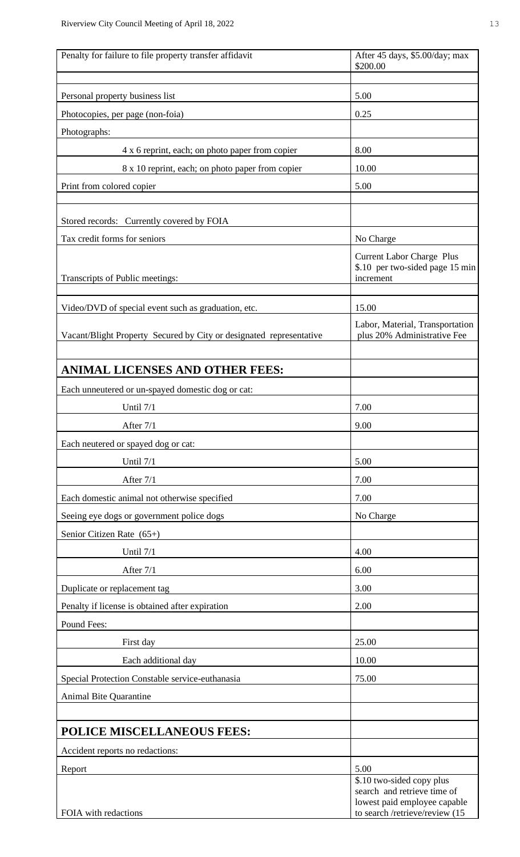| Penalty for failure to file property transfer affidavit             | After 45 days, \$5.00/day; max                                                   |  |
|---------------------------------------------------------------------|----------------------------------------------------------------------------------|--|
|                                                                     | \$200.00                                                                         |  |
| Personal property business list                                     | 5.00                                                                             |  |
| Photocopies, per page (non-foia)                                    | 0.25                                                                             |  |
| Photographs:                                                        |                                                                                  |  |
| 4 x 6 reprint, each; on photo paper from copier                     | 8.00                                                                             |  |
| 8 x 10 reprint, each; on photo paper from copier                    | 10.00                                                                            |  |
| Print from colored copier                                           | 5.00                                                                             |  |
|                                                                     |                                                                                  |  |
| Stored records: Currently covered by FOIA                           |                                                                                  |  |
| Tax credit forms for seniors                                        | No Charge                                                                        |  |
| Transcripts of Public meetings:                                     | <b>Current Labor Charge Plus</b><br>\$.10 per two-sided page 15 min<br>increment |  |
|                                                                     |                                                                                  |  |
| Video/DVD of special event such as graduation, etc.                 | 15.00                                                                            |  |
| Vacant/Blight Property Secured by City or designated representative | Labor, Material, Transportation<br>plus 20% Administrative Fee                   |  |
|                                                                     |                                                                                  |  |
| <b>ANIMAL LICENSES AND OTHER FEES:</b>                              |                                                                                  |  |
| Each unneutered or un-spayed domestic dog or cat:                   |                                                                                  |  |
| Until 7/1                                                           | 7.00                                                                             |  |
| After 7/1                                                           | 9.00                                                                             |  |
| Each neutered or spayed dog or cat:                                 |                                                                                  |  |
| Until 7/1                                                           | 5.00                                                                             |  |
| After 7/1                                                           | 7.00                                                                             |  |
| Each domestic animal not otherwise specified                        | 7.00                                                                             |  |
| Seeing eye dogs or government police dogs                           | No Charge                                                                        |  |
| Senior Citizen Rate (65+)                                           |                                                                                  |  |
| Until 7/1                                                           | 4.00                                                                             |  |
| After 7/1                                                           | 6.00                                                                             |  |
| Duplicate or replacement tag                                        | 3.00                                                                             |  |
| Penalty if license is obtained after expiration                     | 2.00                                                                             |  |
| Pound Fees:                                                         |                                                                                  |  |
| First day                                                           | 25.00                                                                            |  |
| Each additional day                                                 | 10.00                                                                            |  |
| Special Protection Constable service-euthanasia                     | 75.00                                                                            |  |
| <b>Animal Bite Quarantine</b>                                       |                                                                                  |  |
|                                                                     |                                                                                  |  |
| POLICE MISCELLANEOUS FEES:                                          |                                                                                  |  |
| Accident reports no redactions:                                     |                                                                                  |  |
| Report                                                              | 5.00                                                                             |  |
|                                                                     | \$.10 two-sided copy plus<br>search and retrieve time of                         |  |
| FOIA with redactions                                                | lowest paid employee capable<br>to search /retrieve/review (15                   |  |
|                                                                     |                                                                                  |  |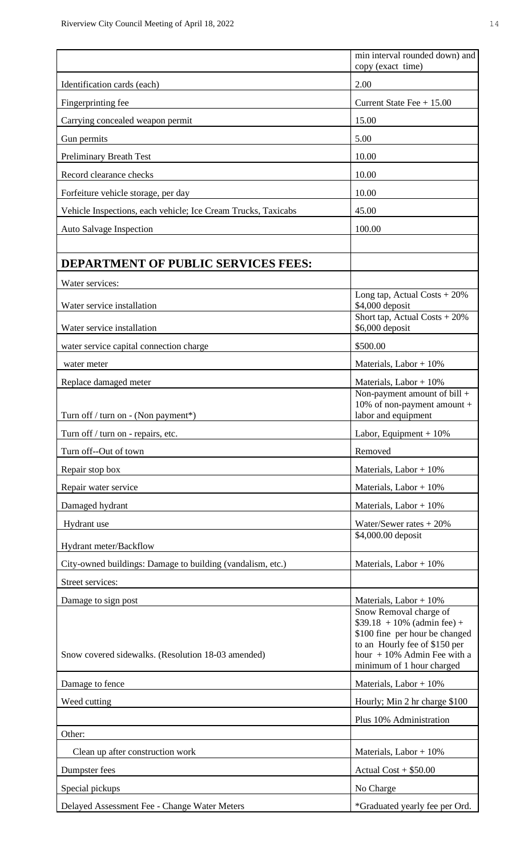|                                                               | min interval rounded down) and<br>copy (exact time)                                                                                                                                      |  |  |
|---------------------------------------------------------------|------------------------------------------------------------------------------------------------------------------------------------------------------------------------------------------|--|--|
| Identification cards (each)                                   | 2.00                                                                                                                                                                                     |  |  |
| Fingerprinting fee                                            | Current State Fee $+ 15.00$                                                                                                                                                              |  |  |
| Carrying concealed weapon permit                              | 15.00                                                                                                                                                                                    |  |  |
| Gun permits                                                   | 5.00                                                                                                                                                                                     |  |  |
| <b>Preliminary Breath Test</b>                                | 10.00                                                                                                                                                                                    |  |  |
| Record clearance checks                                       | 10.00                                                                                                                                                                                    |  |  |
| Forfeiture vehicle storage, per day                           | 10.00                                                                                                                                                                                    |  |  |
| Vehicle Inspections, each vehicle; Ice Cream Trucks, Taxicabs | 45.00                                                                                                                                                                                    |  |  |
| Auto Salvage Inspection                                       | 100.00                                                                                                                                                                                   |  |  |
|                                                               |                                                                                                                                                                                          |  |  |
| <b>DEPARTMENT OF PUBLIC SERVICES FEES:</b>                    |                                                                                                                                                                                          |  |  |
| Water services:                                               |                                                                                                                                                                                          |  |  |
| Water service installation                                    | Long tap, Actual Costs $+20\%$<br>\$4,000 deposit                                                                                                                                        |  |  |
| Water service installation                                    | Short tap, Actual Costs $+20\%$<br>\$6,000 deposit                                                                                                                                       |  |  |
| water service capital connection charge                       | \$500.00                                                                                                                                                                                 |  |  |
| water meter                                                   | Materials, Labor $+10\%$                                                                                                                                                                 |  |  |
| Replace damaged meter                                         | Materials, Labor $+10\%$                                                                                                                                                                 |  |  |
| Turn off / turn on - (Non payment*)                           | Non-payment amount of bill +<br>10% of non-payment amount +<br>labor and equipment                                                                                                       |  |  |
| Turn off / turn on - repairs, etc.                            | Labor, Equipment + $10\%$                                                                                                                                                                |  |  |
| Turn off--Out of town                                         | Removed                                                                                                                                                                                  |  |  |
| Repair stop box                                               | Materials, Labor + $10\%$                                                                                                                                                                |  |  |
| Repair water service                                          | Materials, Labor + $10\%$                                                                                                                                                                |  |  |
| Damaged hydrant                                               | Materials, Labor $+10\%$                                                                                                                                                                 |  |  |
| Hydrant use                                                   | Water/Sewer rates $+20%$                                                                                                                                                                 |  |  |
| Hydrant meter/Backflow                                        | \$4,000.00 deposit                                                                                                                                                                       |  |  |
| City-owned buildings: Damage to building (vandalism, etc.)    | Materials, Labor $+10\%$                                                                                                                                                                 |  |  |
| Street services:                                              |                                                                                                                                                                                          |  |  |
| Damage to sign post                                           | Materials, Labor + $10\%$                                                                                                                                                                |  |  |
| Snow covered sidewalks. (Resolution 18-03 amended)            | Snow Removal charge of<br>$$39.18 + 10\%$ (admin fee) +<br>\$100 fine per hour be changed<br>to an Hourly fee of \$150 per<br>hour $+10\%$ Admin Fee with a<br>minimum of 1 hour charged |  |  |
| Damage to fence                                               | Materials, Labor + $10\%$                                                                                                                                                                |  |  |
| Weed cutting                                                  | Hourly; Min 2 hr charge \$100                                                                                                                                                            |  |  |
|                                                               | Plus 10% Administration                                                                                                                                                                  |  |  |
| Other:                                                        |                                                                                                                                                                                          |  |  |
| Clean up after construction work                              | Materials, Labor + $10\%$                                                                                                                                                                |  |  |
| Dumpster fees                                                 | Actual $Cost + $50.00$                                                                                                                                                                   |  |  |
| Special pickups                                               | No Charge                                                                                                                                                                                |  |  |
| Delayed Assessment Fee - Change Water Meters                  | *Graduated yearly fee per Ord.                                                                                                                                                           |  |  |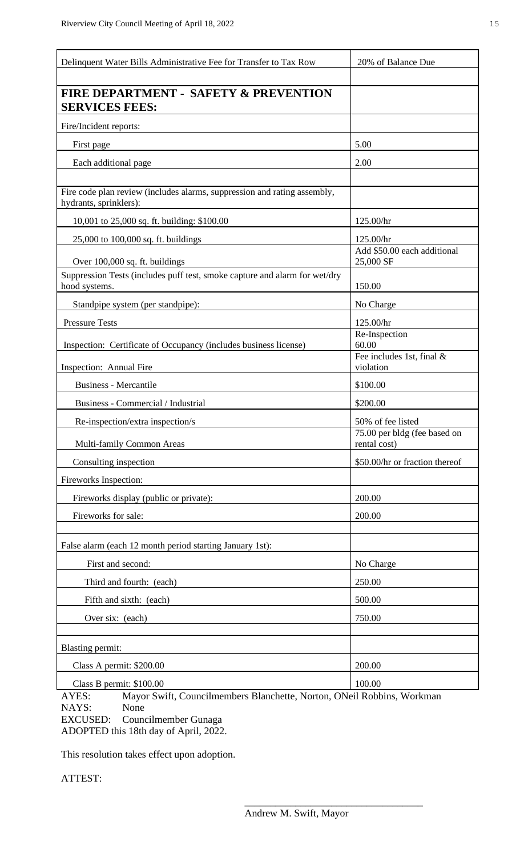| <b>FIRE DEPARTMENT - SAFETY &amp; PREVENTION</b><br><b>SERVICES FEES:</b><br>Fire/Incident reports:<br>5.00<br>First page<br>Each additional page<br>2.00<br>Fire code plan review (includes alarms, suppression and rating assembly,<br>hydrants, sprinklers): |
|-----------------------------------------------------------------------------------------------------------------------------------------------------------------------------------------------------------------------------------------------------------------|
|                                                                                                                                                                                                                                                                 |
|                                                                                                                                                                                                                                                                 |
|                                                                                                                                                                                                                                                                 |
|                                                                                                                                                                                                                                                                 |
|                                                                                                                                                                                                                                                                 |
|                                                                                                                                                                                                                                                                 |
|                                                                                                                                                                                                                                                                 |
| 10,001 to 25,000 sq. ft. building: \$100.00<br>125.00/hr                                                                                                                                                                                                        |
| 25,000 to 100,000 sq. ft. buildings<br>125.00/hr                                                                                                                                                                                                                |
| Add \$50.00 each additional<br>25,000 SF<br>Over 100,000 sq. ft. buildings                                                                                                                                                                                      |
| Suppression Tests (includes puff test, smoke capture and alarm for wet/dry<br>150.00<br>hood systems.                                                                                                                                                           |
| Standpipe system (per standpipe):<br>No Charge                                                                                                                                                                                                                  |
| 125.00/hr<br><b>Pressure Tests</b>                                                                                                                                                                                                                              |
| Re-Inspection<br>Inspection: Certificate of Occupancy (includes business license)<br>60.00                                                                                                                                                                      |
| Fee includes 1st, final &<br>violation<br>Inspection: Annual Fire                                                                                                                                                                                               |
| <b>Business - Mercantile</b><br>\$100.00                                                                                                                                                                                                                        |
| Business - Commercial / Industrial<br>\$200.00                                                                                                                                                                                                                  |
| Re-inspection/extra inspection/s<br>50% of fee listed                                                                                                                                                                                                           |
| 75.00 per bldg (fee based on<br>Multi-family Common Areas<br>rental cost)                                                                                                                                                                                       |
| \$50.00/hr or fraction thereof<br>Consulting inspection                                                                                                                                                                                                         |
| Fireworks Inspection:                                                                                                                                                                                                                                           |
| Fireworks display (public or private):<br>200.00                                                                                                                                                                                                                |
| 200.00<br>Fireworks for sale:                                                                                                                                                                                                                                   |
|                                                                                                                                                                                                                                                                 |
| False alarm (each 12 month period starting January 1st):                                                                                                                                                                                                        |
| First and second:<br>No Charge                                                                                                                                                                                                                                  |
| Third and fourth: (each)<br>250.00                                                                                                                                                                                                                              |
| Fifth and sixth: (each)<br>500.00                                                                                                                                                                                                                               |
| 750.00<br>Over six: (each)                                                                                                                                                                                                                                      |
|                                                                                                                                                                                                                                                                 |
| <b>Blasting permit:</b><br>Class A permit: \$200.00<br>200.00                                                                                                                                                                                                   |
| Class B permit: \$100.00<br>100.00                                                                                                                                                                                                                              |

AYES: Mayor Swift, Councilmembers Blanchette, Norton, ONeil Robbins, Workman NAYS: None NAYS: EXCUSED: Councilmember Gunaga

 $\overline{\phantom{a}}$  , which is a set of the set of the set of the set of the set of the set of the set of the set of the set of the set of the set of the set of the set of the set of the set of the set of the set of the set of th

ADOPTED this 18th day of April, 2022.

This resolution takes effect upon adoption.

ATTEST: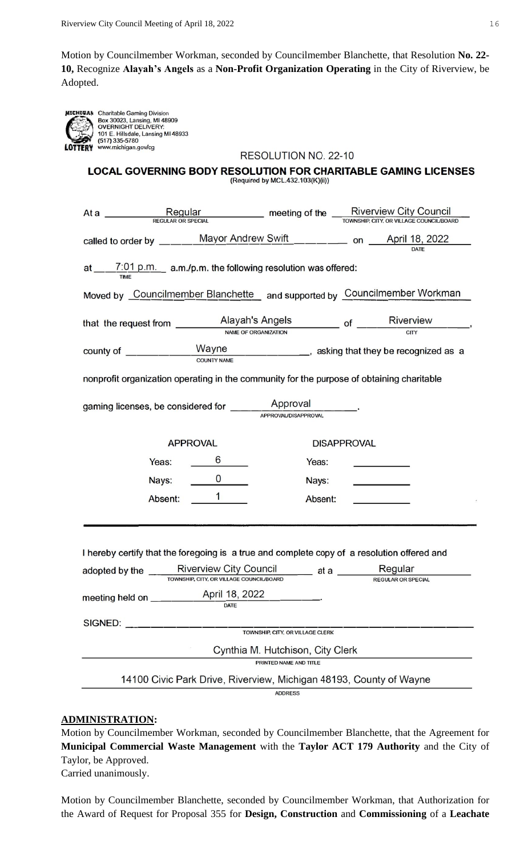Motion by Councilmember Workman, seconded by Councilmember Blanchette, that Resolution **No. 22- 10,** Recognize **Alayah's Angels** as a **Non-Profit Organization Operating** in the City of Riverview, be Adopted.

| MICHIGAN | t |
|----------|---|
|          | l |
|          | O |
|          |   |
|          | Í |
| LOTTERY  |   |

Charitable Gaming Division **Box 30023, Lansing Bivision**<br>Box 30023, Lansing, MI 48909<br>OVERNIGHT DELIVERY: 101 E. Hillsdale, Lansing MI 48933<br>(517) 335-5780 www.michigan.gov/cg

| RESOLUTION NO. 22-10 |  |
|----------------------|--|
|----------------------|--|

#### LOCAL GOVERNING BODY RESOLUTION FOR CHARITABLE GAMING LICENSES (Required by MCL.432.103(K)(ii))

|                                                                                                                                                                                                                                                      | At a <u>Regular Regular</u> meeting of the Riverview City Council<br>REGULAR OR SPECIAL REGULAR OR SPECIAL |                                  |                    |                                                                     |  |  |  |  |
|------------------------------------------------------------------------------------------------------------------------------------------------------------------------------------------------------------------------------------------------------|------------------------------------------------------------------------------------------------------------|----------------------------------|--------------------|---------------------------------------------------------------------|--|--|--|--|
|                                                                                                                                                                                                                                                      |                                                                                                            |                                  |                    |                                                                     |  |  |  |  |
| at $\underbrace{7:01 \text{ p.m.}}$ a.m./p.m. the following resolution was offered:                                                                                                                                                                  |                                                                                                            |                                  |                    |                                                                     |  |  |  |  |
| Moved by Councilmember Blanchette and supported by Councilmember Workman                                                                                                                                                                             |                                                                                                            |                                  |                    |                                                                     |  |  |  |  |
| that the request from $\frac{\text{Alayah's Angels}}{\text{NAME of ORGANIZATION}}$ of $\frac{\text{Riverview}}{\text{cm}'}$ ,                                                                                                                        |                                                                                                            |                                  |                    |                                                                     |  |  |  |  |
|                                                                                                                                                                                                                                                      |                                                                                                            |                                  |                    |                                                                     |  |  |  |  |
| nonprofit organization operating in the community for the purpose of obtaining charitable                                                                                                                                                            |                                                                                                            |                                  |                    |                                                                     |  |  |  |  |
|                                                                                                                                                                                                                                                      |                                                                                                            |                                  |                    |                                                                     |  |  |  |  |
|                                                                                                                                                                                                                                                      | <b>APPROVAL</b>                                                                                            |                                  | <b>DISAPPROVAL</b> |                                                                     |  |  |  |  |
| Yeas:                                                                                                                                                                                                                                                | $6 \quad \qquad$                                                                                           | Yeas:                            |                    | <u>and the state of the state of the state</u>                      |  |  |  |  |
| Nays:                                                                                                                                                                                                                                                | $\overline{\phantom{a}}$ 0                                                                                 | Nays:                            |                    | <u>with the state of the state</u>                                  |  |  |  |  |
| Absent:                                                                                                                                                                                                                                              | $\overline{1}$                                                                                             | Absent:                          |                    | $\overline{\phantom{a}}$ . The contract of $\overline{\phantom{a}}$ |  |  |  |  |
| I hereby certify that the foregoing is a true and complete copy of a resolution offered and<br>adopted by the _______Riverview City Council ________ at a _________ Regular<br>TOWNSHIP, CITY, OR VILLAGE COUNCIL/BOARD<br><b>REGULAR OR SPECIAL</b> |                                                                                                            |                                  |                    |                                                                     |  |  |  |  |
| meeting held on ____                                                                                                                                                                                                                                 | April 18, 2022<br><b>DATE</b>                                                                              |                                  |                    |                                                                     |  |  |  |  |
| SIGNED:                                                                                                                                                                                                                                              |                                                                                                            | TOWNSHIP, CITY, OR VILLAGE CLERK |                    |                                                                     |  |  |  |  |
|                                                                                                                                                                                                                                                      |                                                                                                            | Cynthia M. Hutchison, City Clerk |                    |                                                                     |  |  |  |  |
|                                                                                                                                                                                                                                                      |                                                                                                            | PRINTED NAME AND TITLE           |                    |                                                                     |  |  |  |  |
| 14100 Civic Park Drive, Riverview, Michigan 48193, County of Wayne                                                                                                                                                                                   |                                                                                                            |                                  |                    |                                                                     |  |  |  |  |
| <b>ADDRESS</b>                                                                                                                                                                                                                                       |                                                                                                            |                                  |                    |                                                                     |  |  |  |  |

#### **ADMINISTRATION:**

Motion by Councilmember Workman, seconded by Councilmember Blanchette, that the Agreement for **Municipal Commercial Waste Management** with the **Taylor ACT 179 Authority** and the City of Taylor, be Approved.

Carried unanimously.

Motion by Councilmember Blanchette, seconded by Councilmember Workman, that Authorization for the Award of Request for Proposal 355 for **Design, Construction** and **Commissioning** of a **Leachate**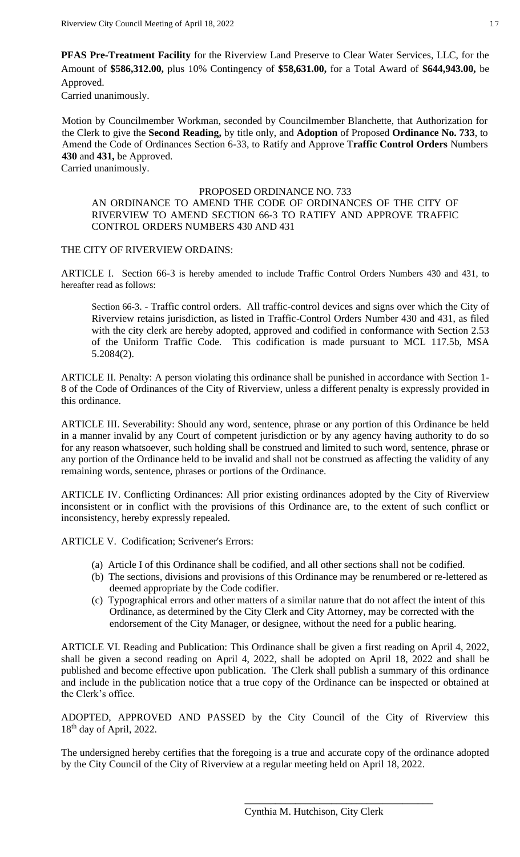**PFAS Pre-Treatment Facility** for the Riverview Land Preserve to Clear Water Services, LLC, for the Amount of **\$586,312.00,** plus 10% Contingency of **\$58,631.00,** for a Total Award of **\$644,943.00,** be Approved.

Carried unanimously.

Motion by Councilmember Workman, seconded by Councilmember Blanchette, that Authorization for the Clerk to give the **Second Reading,** by title only, and **Adoption** of Proposed **Ordinance No. 733**, to Amend the Code of Ordinances Section 6-33, to Ratify and Approve T**raffic Control Orders** Numbers **430** and **431,** be Approved.

Carried unanimously.

#### PROPOSED ORDINANCE NO. 733

AN ORDINANCE TO AMEND THE CODE OF ORDINANCES OF THE CITY OF RIVERVIEW TO AMEND SECTION 66-3 TO RATIFY AND APPROVE TRAFFIC CONTROL ORDERS NUMBERS 430 AND 431

#### THE CITY OF RIVERVIEW ORDAINS:

ARTICLE I. Section 66-3 is hereby amended to include Traffic Control Orders Numbers 430 and 431, to hereafter read as follows:

Section 66-3. - Traffic control orders. All traffic-control devices and signs over which the City of Riverview retains jurisdiction, as listed in Traffic-Control Orders Number 430 and 431, as filed with the city clerk are hereby adopted, approved and codified in conformance with Section 2.53 of the Uniform Traffic Code. This codification is made pursuant to MCL 117.5b, MSA 5.2084(2).

ARTICLE II. Penalty: A person violating this ordinance shall be punished in accordance with Section 1- 8 of the Code of Ordinances of the City of Riverview, unless a different penalty is expressly provided in this ordinance.

ARTICLE III. Severability: Should any word, sentence, phrase or any portion of this Ordinance be held in a manner invalid by any Court of competent jurisdiction or by any agency having authority to do so for any reason whatsoever, such holding shall be construed and limited to such word, sentence, phrase or any portion of the Ordinance held to be invalid and shall not be construed as affecting the validity of any remaining words, sentence, phrases or portions of the Ordinance.

ARTICLE IV. Conflicting Ordinances: All prior existing ordinances adopted by the City of Riverview inconsistent or in conflict with the provisions of this Ordinance are, to the extent of such conflict or inconsistency, hereby expressly repealed.

ARTICLE V. Codification; Scrivener's Errors:

- (a) Article I of this Ordinance shall be codified, and all other sections shall not be codified.
- (b) The sections, divisions and provisions of this Ordinance may be renumbered or re-lettered as deemed appropriate by the Code codifier.
- (c) Typographical errors and other matters of a similar nature that do not affect the intent of this Ordinance, as determined by the City Clerk and City Attorney, may be corrected with the endorsement of the City Manager, or designee, without the need for a public hearing.

ARTICLE VI. Reading and Publication: This Ordinance shall be given a first reading on April 4, 2022, shall be given a second reading on April 4, 2022, shall be adopted on April 18, 2022 and shall be published and become effective upon publication. The Clerk shall publish a summary of this ordinance and include in the publication notice that a true copy of the Ordinance can be inspected or obtained at the Clerk's office.

ADOPTED, APPROVED AND PASSED by the City Council of the City of Riverview this 18th day of April, 2022.

The undersigned hereby certifies that the foregoing is a true and accurate copy of the ordinance adopted by the City Council of the City of Riverview at a regular meeting held on April 18, 2022.

\_\_\_\_\_\_\_\_\_\_\_\_\_\_\_\_\_\_\_\_\_\_\_\_\_\_\_\_\_\_\_\_\_\_\_\_\_